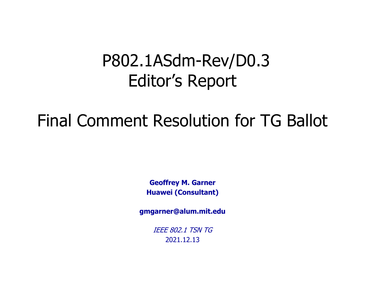## P802.1ASdm-Rev/D0.3 Editor's Report

# Final Comment Resolution for TG Ballot

**Geoffrey M. Garner Huawei (Consultant)**

**gmgarner@alum.mit.edu**

IEEE 802.1 TSN TG 2021.12.13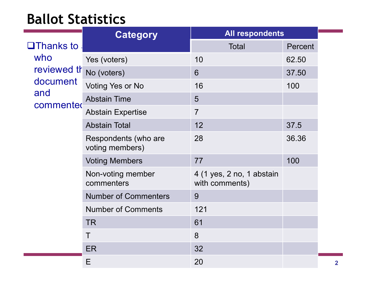#### **Ballot Statistics**

|                                                                               | <b>Category</b>                         | <b>All respondents</b>                      |         |
|-------------------------------------------------------------------------------|-----------------------------------------|---------------------------------------------|---------|
| $\Box$ Thanks to<br>who<br>reviewed th<br>document<br>and<br><b>commented</b> |                                         | <b>Total</b>                                | Percent |
|                                                                               | Yes (voters)                            | 10                                          | 62.50   |
|                                                                               | No (voters)                             | 6                                           | 37.50   |
|                                                                               | Voting Yes or No                        | 16                                          | 100     |
|                                                                               | <b>Abstain Time</b>                     | 5                                           |         |
|                                                                               | <b>Abstain Expertise</b>                | $\overline{7}$                              |         |
|                                                                               | <b>Abstain Total</b>                    | 12                                          | 37.5    |
|                                                                               | Respondents (who are<br>voting members) | 28                                          | 36.36   |
|                                                                               | <b>Voting Members</b>                   | 77                                          | 100     |
|                                                                               | Non-voting member<br>commenters         | 4 (1 yes, 2 no, 1 abstain<br>with comments) |         |
|                                                                               | <b>Number of Commenters</b>             | 9                                           |         |
|                                                                               | <b>Number of Comments</b>               | 121                                         |         |
|                                                                               | <b>TR</b>                               | 61                                          |         |
|                                                                               | T                                       | 8                                           |         |
|                                                                               | ER                                      | 32                                          |         |
|                                                                               | Ε                                       | 20                                          |         |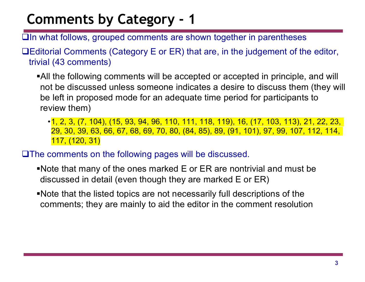- $\Box$ In what follows, grouped comments are shown together in parentheses
- $\Box$ Editorial Comments (Category E or ER) that are, in the judgement of the editor, trivial (43 comments)
	- •All the following comments will be accepted or accepted in principle, and will not be discussed unless someone indicates a desire to discuss them (they will be left in proposed mode for an adequate time period for participants to review them)
		- •1, 2, 3, (7, 104), (15, 93, 94, 96, 110, 111, 118, 119), 16, (17, 103, 113), 21, 22, 23, 29, 30, 39, 63, 66, 67, 68, 69, 70, 80, (84, 85), 89, (91, 101), 97, 99, 107, 112, 114, 117, (120, 31)
- $\square$ The comments on the following pages will be discussed.
	- §Note that many of the ones marked E or ER are nontrivial and must be discussed in detail (even though they are marked E or ER)
	- §Note that the listed topics are not necessarily full descriptions of the comments; they are mainly to aid the editor in the comment resolution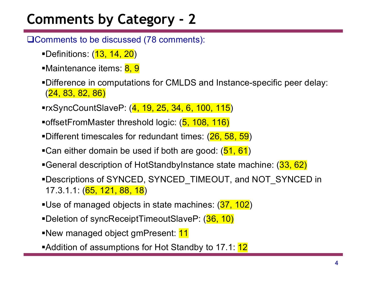**QComments to be discussed (78 comments):** 

- ■Definitions: (13, 14, 20)
- ■Maintenance items: 8, 9
- §Difference in computations for CMLDS and Instance-specific peer delay: (24, 83, 82, 86)
- ■rxSyncCountSlaveP: (4, 19, 25, 34, 6, 100, 115)
- ■offsetFromMaster threshold logic: (5, 108, 116)
- ■Different timescales for redundant times: (26, 58, 59)
- ■Can either domain be used if both are good: (51, 61)
- ■General description of HotStandbyInstance state machine: (33, 62)
- §Descriptions of SYNCED, SYNCED\_TIMEOUT, and NOT\_SYNCED in 17.3.1.1: (65, 121, 88, 18)
- ■Use of managed objects in state machines: (37, 102)
- ■Deletion of syncReceiptTimeoutSlaveP: (36, 10)
- ■New managed object gmPresent: 11
- ■Addition of assumptions for Hot Standby to 17.1: 12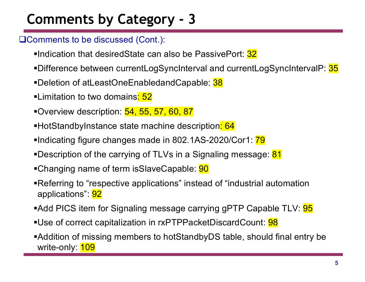**QComments to be discussed (Cont.):** 

- ■Indication that desiredState can also be PassivePort: 32
- ■Difference between currentLogSyncInterval and currentLogSyncIntervalP: 35
- ■Deletion of atLeastOneEnabledandCapable: 38
- ■Limitation to two domains<mark>: 52</mark>
- ■Overview description: 54, 55, 57, 60, 87
- ■HotStandbyInstance state machine description<mark>: 64</mark>
- •Indicating figure changes made in 802.1AS-2020/Cor1: 79
- •Description of the carrying of TLVs in a Signaling message: 81
- ■Changing name of term isSlaveCapable: **90**
- ■Referring to "respective applications" instead of "industrial automation applications": 92
- ■Add PICS item for Signaling message carrying gPTP Capable TLV: **95**
- ■Use of correct capitalization in rxPTPPacketDiscardCount: <mark>98</mark>
- ■Addition of missing members to hotStandbyDS table, should final entry be write-only: **109**